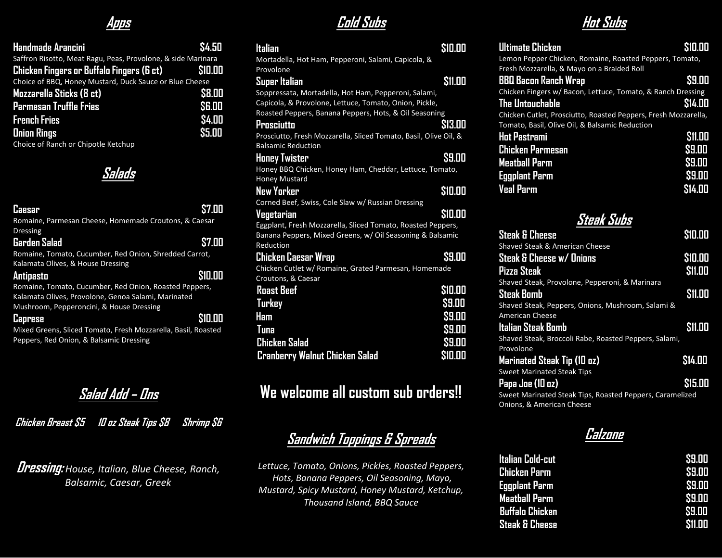### **Apps**

| Handmade Arancini                                            | \$4.50        |
|--------------------------------------------------------------|---------------|
| Saffron Risotto, Meat Ragu, Peas, Provolone, & side Marinara |               |
| Chicken Fingers or Buffalo Fingers (6 ct)                    | <b>S10.00</b> |
| Choice of BBQ, Honey Mustard, Duck Sauce or Blue Cheese      |               |
| Mozzarella Sticks (8 ct)                                     | \$8.00        |
| <b>Parmesan Truffle Fries</b>                                | SG.OD         |
| <b>French Fries</b>                                          | <b>\$4.00</b> |
| <b>Onion Rings</b>                                           | <b>S5.00</b>  |
| Choice of Ranch or Chipotle Ketchup                          |               |

**Salads**

| <b>Caesar</b>                                                 | \$7.00  |
|---------------------------------------------------------------|---------|
| Romaine, Parmesan Cheese, Homemade Croutons, & Caesar         |         |
| <b>Dressing</b>                                               |         |
| <b>Garden Salad</b>                                           | \$7.00  |
| Romaine, Tomato, Cucumber, Red Onion, Shredded Carrot,        |         |
| Kalamata Olives, & House Dressing                             |         |
| Antipasto                                                     | \$10.00 |
| Romaine, Tomato, Cucumber, Red Onion, Roasted Peppers,        |         |
| Kalamata Olives, Provolone, Genoa Salami, Marinated           |         |
| Mushroom, Pepperoncini, & House Dressing                      |         |
| <b>Caprese</b>                                                | \$10.00 |
| Mixed Greens, Sliced Tomato, Fresh Mozzarella, Basil, Roasted |         |
| Peppers, Red Onion, & Balsamic Dressing                       |         |

**Salad Add – Ons**

**Chicken Breast \$5 10 oz Steak Tips \$8 Shrimp \$6**

**Dressing:** *House, Italian, Blue Cheese, Ranch, Balsamic, Caesar, Greek*

**Cold Subs**

| Italian                                                          | \$10.00       |
|------------------------------------------------------------------|---------------|
| Mortadella, Hot Ham, Pepperoni, Salami, Capicola, &              |               |
| Provolone                                                        |               |
| Super Italian                                                    | <b>S11.00</b> |
| Soppressata, Mortadella, Hot Ham, Pepperoni, Salami,             |               |
| Capicola, & Provolone, Lettuce, Tomato, Onion, Pickle,           |               |
| Roasted Peppers, Banana Peppers, Hots, & Oil Seasoning           |               |
| Prosciutto                                                       | <b>S13.00</b> |
| Prosciutto, Fresh Mozzarella, Sliced Tomato, Basil, Olive Oil, & |               |
| <b>Balsamic Reduction</b>                                        |               |
| <b>Honey Twister</b>                                             | \$9.00        |
| Honey BBQ Chicken, Honey Ham, Cheddar, Lettuce, Tomato,          |               |
| <b>Honey Mustard</b>                                             |               |
| New Yorker                                                       | \$10.00       |
| Corned Beef, Swiss, Cole Slaw w/ Russian Dressing                |               |
| Vegetarian                                                       | \$10.00       |
| Eggplant, Fresh Mozzarella, Sliced Tomato, Roasted Peppers,      |               |
| Banana Peppers, Mixed Greens, w/ Oil Seasoning & Balsamic        |               |
| Reduction                                                        |               |
| <u>Chicken Caesar Wrap</u>                                       | \$9.00        |
| Chicken Cutlet w/ Romaine, Grated Parmesan, Homemade             |               |
| Croutons, & Caesar                                               |               |
| <b>Roast Beef</b>                                                | \$10.00       |
| Turkey                                                           | \$9.00        |
| Ham                                                              | \$9.00        |
| Tuna                                                             | \$9.00        |
|                                                                  |               |
| <b>Chicken Salad</b>                                             | \$9.00        |
| <b>Cranberry Walnut Chicken Salad</b>                            | \$10.00       |

## **We welcome all custom sub orders!!**

## **Sandwich Toppings & Spreads**

*Lettuce, Tomato, Onions, Pickles, Roasted Peppers, Hots, Banana Peppers, Oil Seasoning, Mayo, Mustard, Spicy Mustard, Honey Mustard, Ketchup, Thousand Island, BBQ Sauce*

**Hot Subs**

| Ultimate Chicken                                               | \$10.00       |
|----------------------------------------------------------------|---------------|
| Lemon Pepper Chicken, Romaine, Roasted Peppers, Tomato,        |               |
| Fresh Mozzarella, & Mayo on a Braided Roll                     |               |
| BBQ Bacon Ranch Wrap                                           | \$9.00        |
| Chicken Fingers w/ Bacon, Lettuce, Tomato, & Ranch Dressing    |               |
| The Untouchable                                                | <b>S14.00</b> |
| Chicken Cutlet, Prosciutto, Roasted Peppers, Fresh Mozzarella, |               |
| Tomato, Basil, Olive Oil, & Balsamic Reduction                 |               |
| <b>Hot Pastrami</b>                                            | <b>S11.00</b> |
| <b>Chicken Parmesan</b>                                        | \$9.00        |
| <b>Meatball Parm</b>                                           | \$9.00        |
| <b>Eggplant Parm</b>                                           | \$9.00        |
| <b>Veal Parm</b>                                               | \$14.00       |
|                                                                |               |
|                                                                |               |
| Steak Subs                                                     |               |
| <b>Steak &amp; Cheese</b>                                      | \$10.00       |
| Shaved Steak & American Cheese                                 |               |
| Steak & Cheese w/ Onions                                       | \$10.00       |
| <b>Pizza Steak</b>                                             | \$11.00       |
| Shaved Steak, Provolone, Pepperoni, & Marinara                 |               |
| <b>Steak Bomb</b>                                              | \$11.00       |
| Shaved Steak, Peppers, Onions, Mushroom, Salami &              |               |
| <b>American Cheese</b>                                         |               |
| Italian Steak Bomb                                             | \$11.00       |
| Shaved Steak, Broccoli Rabe, Roasted Peppers, Salami,          |               |
| Provolone                                                      |               |
| Marinated Steak Tip (10 oz)                                    | \$14.00       |
| <b>Sweet Marinated Steak Tips</b>                              |               |
| Papa Joe (10 oz)                                               | \$15.00       |
| Sweet Marinated Steak Tips, Roasted Peppers, Caramelized       |               |
| Onions, & American Cheese                                      |               |

**Calzone**

| Italian Cold-cut          | \$9.00        |
|---------------------------|---------------|
| Chicken Parm              | \$9.00        |
| <b>Eggplant Parm</b>      | \$9.00        |
| <b>Meatball Parm</b>      | \$9.00        |
| Buffalo Chicken           | \$9.00        |
| <b>Steak &amp; Cheese</b> | <b>S11.00</b> |